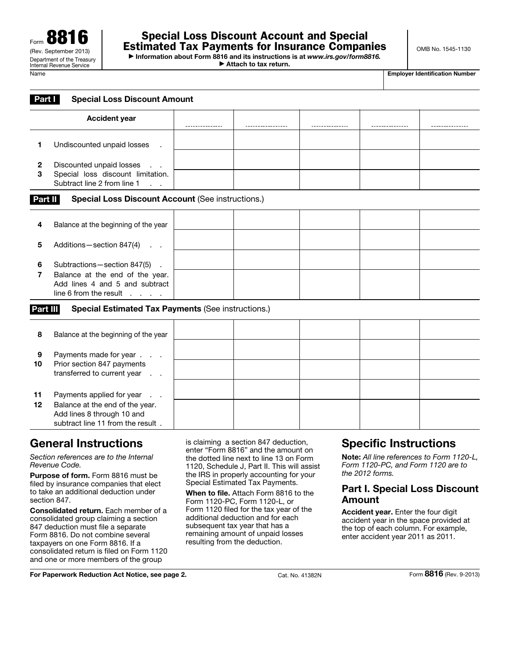▶ Information about Form 8816 and its instructions is at *www.irs.gov/form8816.* ▶ Attach to tax return.

| Name | <b>Employer Identification Number</b> |
|------|---------------------------------------|
|------|---------------------------------------|

| <b>Special Loss Discount Amount</b><br><b>Part</b> |                                                                                                        |  |  |  |  |   |
|----------------------------------------------------|--------------------------------------------------------------------------------------------------------|--|--|--|--|---|
|                                                    | <b>Accident year</b>                                                                                   |  |  |  |  | . |
|                                                    | Undiscounted unpaid losses                                                                             |  |  |  |  |   |
| $\mathbf 2$<br>3                                   | Discounted unpaid losses<br>$\mathcal{A}=\mathcal{A}$<br>Special loss discount limitation.             |  |  |  |  |   |
|                                                    | Subtract line 2 from line 1<br><b>Special Loss Discount Account (See instructions.)</b><br>Part II     |  |  |  |  |   |
| 4                                                  | Balance at the beginning of the year                                                                   |  |  |  |  |   |
| 5                                                  | Additions - section 847(4)<br>$\Delta \sim 100$                                                        |  |  |  |  |   |
| 6                                                  | Subtractions-section 847(5)                                                                            |  |  |  |  |   |
| 7                                                  | Balance at the end of the year.<br>Add lines 4 and 5 and subtract<br>line 6 from the result $\ldots$ . |  |  |  |  |   |

## Part III Special Estimated Tax Payments (See instructions.)

| Balance at the beginning of the year<br>8<br>Payments made for year<br>9<br>Prior section 847 payments<br>10<br>transferred to current year<br>$\mathcal{L}=\mathcal{L}$<br>Payments applied for year<br>11 |  |  |  |  |
|-------------------------------------------------------------------------------------------------------------------------------------------------------------------------------------------------------------|--|--|--|--|
|                                                                                                                                                                                                             |  |  |  |  |
|                                                                                                                                                                                                             |  |  |  |  |
|                                                                                                                                                                                                             |  |  |  |  |
|                                                                                                                                                                                                             |  |  |  |  |
| Balance at the end of the year.<br>12<br>Add lines 8 through 10 and<br>subtract line 11 from the result.                                                                                                    |  |  |  |  |
|                                                                                                                                                                                                             |  |  |  |  |

# General Instructions

*Section references are to the Internal Revenue Code.*

Purpose of form. Form 8816 must be filed by insurance companies that elect to take an additional deduction under section 847.

Consolidated return. Each member of a consolidated group claiming a section 847 deduction must file a separate Form 8816. Do not combine several taxpayers on one Form 8816. If a consolidated return is filed on Form 1120 and one or more members of the group

is claiming a section 847 deduction, enter "Form 8816" and the amount on the dotted line next to line 13 on Form 1120, Schedule J, Part II. This will assist the IRS in properly accounting for your Special Estimated Tax Payments.

When to file. Attach Form 8816 to the Form 1120-PC, Form 1120-L, or Form 1120 filed for the tax year of the additional deduction and for each subsequent tax year that has a remaining amount of unpaid losses resulting from the deduction.

# Specific Instructions

Note: *All line references to Form 1120-L, Form 1120-PC, and Form 1120 are to the 2012 forms.*

### Part I. Special Loss Discount Amount

Accident year. Enter the four digit accident year in the space provided at the top of each column. For example, enter accident year 2011 as 2011.

For Paperwork Reduction Act Notice, see page 2. Cat. No. 41382N Form 8816 (Rev. 9-2013)